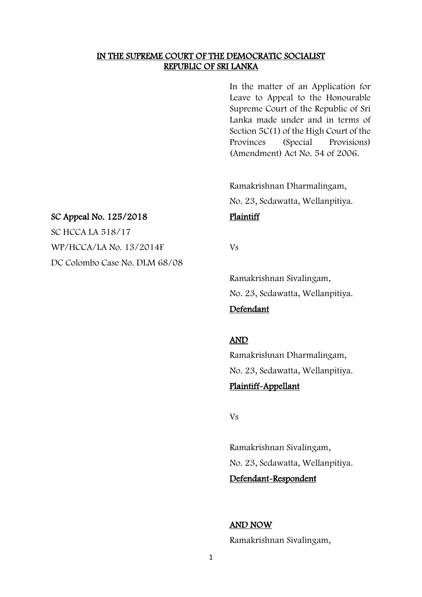#### IN THE SUPREME COURT OF THE DEMOCRATIC SOCIALIST REPUBLIC OF SRI LANKA

In the matter of an Application for Leave to Appeal to the Honourable Supreme Court of the Republic of Sri Lanka made under and in terms of Section 5C(1) of the High Court of the Provinces (Special Provisions) (Amendment) Act No. 54 of 2006.

Ramakrishnan Dharmalingam, No. 23, Sedawatta, Wellanpitiya.

#### SC Appeal No. 125/2018 Plaintiff

SC HCCA LA 518/17 WP/HCCA/LA No. 13/2014F Vs DC Colombo Case No. DLM 68/08

Ramakrishnan Sivalingam, No. 23, Sedawatta, Wellanpitiya.

#### Defendant

#### AND

Ramakrishnan Dharmalingam, No. 23, Sedawatta, Wellanpitiya. Plaintiff-Appellant

Vs

Ramakrishnan Sivalingam, No. 23, Sedawatta, Wellanpitiya.

# Defendant-Respondent

### AND NOW

Ramakrishnan Sivalingam,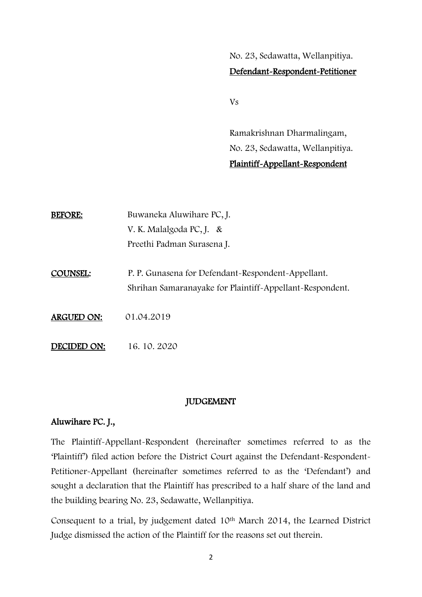No. 23, Sedawatta, Wellanpitiya. Defendant-Respondent-Petitioner

Vs

Ramakrishnan Dharmalingam, No. 23, Sedawatta, Wellanpitiya. Plaintiff-Appellant-Respondent

| <b>BEFORE:</b>    | Buwaneka Aluwihare PC, J.<br>V. K. Malalgoda PC, J. &<br>Preethi Padman Surasena J.                            |
|-------------------|----------------------------------------------------------------------------------------------------------------|
| <b>COUNSEL:</b>   | P. P. Gunasena for Defendant-Respondent-Appellant.<br>Shrihan Samaranayake for Plaintiff-Appellant-Respondent. |
| <b>ARGUED ON:</b> | 01.04.2019                                                                                                     |
| DECIDED ON:       | 16.10.2020                                                                                                     |

## JUDGEMENT

## Aluwihare PC. J.,

The Plaintiff-Appellant-Respondent (hereinafter sometimes referred to as the 'Plaintiff') filed action before the District Court against the Defendant-Respondent-Petitioner-Appellant (hereinafter sometimes referred to as the 'Defendant') and sought a declaration that the Plaintiff has prescribed to a half share of the land and the building bearing No. 23, Sedawatte, Wellanpitiya.

Consequent to a trial, by judgement dated 10th March 2014, the Learned District Judge dismissed the action of the Plaintiff for the reasons set out therein.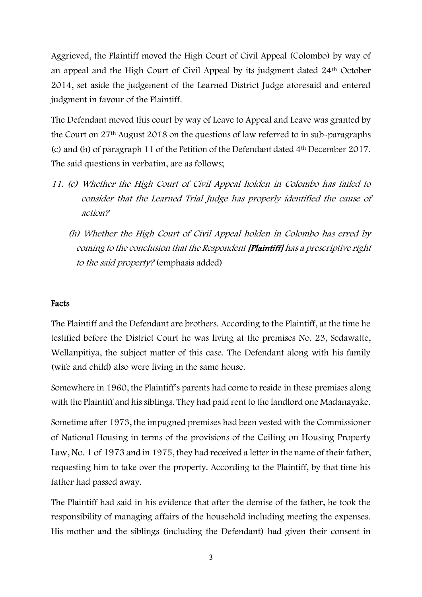Aggrieved, the Plaintiff moved the High Court of Civil Appeal (Colombo) by way of an appeal and the High Court of Civil Appeal by its judgment dated 24th October 2014, set aside the judgement of the Learned District Judge aforesaid and entered judgment in favour of the Plaintiff.

The Defendant moved this court by way of Leave to Appeal and Leave was granted by the Court on 27th August 2018 on the questions of law referred to in sub-paragraphs (c) and (h) of paragraph 11 of the Petition of the Defendant dated 4th December 2017. The said questions in verbatim, are as follows;

- 11. (c) Whether the High Court of Civil Appeal holden in Colombo has failed to consider that the Learned Trial Judge has properly identified the cause of action?
	- (h) Whether the High Court of Civil Appeal holden in Colombo has erred by coming to the conclusion that the Respondent [Plaintiff] has a prescriptive right to the said property? (emphasis added)

# Facts

The Plaintiff and the Defendant are brothers. According to the Plaintiff, at the time he testified before the District Court he was living at the premises No. 23, Sedawatte, Wellanpitiya, the subject matter of this case. The Defendant along with his family (wife and child) also were living in the same house.

Somewhere in 1960, the Plaintiff's parents had come to reside in these premises along with the Plaintiff and his siblings. They had paid rent to the landlord one Madanayake.

Sometime after 1973, the impugned premises had been vested with the Commissioner of National Housing in terms of the provisions of the Ceiling on Housing Property Law, No. 1 of 1973 and in 1975, they had received a letter in the name of their father, requesting him to take over the property. According to the Plaintiff, by that time his father had passed away.

The Plaintiff had said in his evidence that after the demise of the father, he took the responsibility of managing affairs of the household including meeting the expenses. His mother and the siblings (including the Defendant) had given their consent in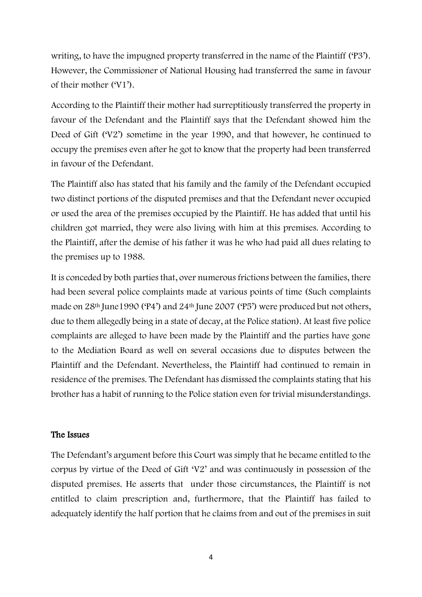writing, to have the impugned property transferred in the name of the Plaintiff ('P3'). However, the Commissioner of National Housing had transferred the same in favour of their mother ('V1').

According to the Plaintiff their mother had surreptitiously transferred the property in favour of the Defendant and the Plaintiff says that the Defendant showed him the Deed of Gift ('V2') sometime in the year 1990, and that however, he continued to occupy the premises even after he got to know that the property had been transferred in favour of the Defendant.

The Plaintiff also has stated that his family and the family of the Defendant occupied two distinct portions of the disputed premises and that the Defendant never occupied or used the area of the premises occupied by the Plaintiff. He has added that until his children got married, they were also living with him at this premises. According to the Plaintiff, after the demise of his father it was he who had paid all dues relating to the premises up to 1988.

It is conceded by both parties that, over numerous frictions between the families, there had been several police complaints made at various points of time (Such complaints made on 28th June1990 ('P4') and 24th June 2007 ('P5') were produced but not others, due to them allegedly being in a state of decay, at the Police station). At least five police complaints are alleged to have been made by the Plaintiff and the parties have gone to the Mediation Board as well on several occasions due to disputes between the Plaintiff and the Defendant. Nevertheless, the Plaintiff had continued to remain in residence of the premises. The Defendant has dismissed the complaints stating that his brother has a habit of running to the Police station even for trivial misunderstandings.

## The Issues

The Defendant's argument before this Court was simply that he became entitled to the corpus by virtue of the Deed of Gift 'V2' and was continuously in possession of the disputed premises. He asserts that under those circumstances, the Plaintiff is not entitled to claim prescription and, furthermore, that the Plaintiff has failed to adequately identify the half portion that he claims from and out of the premises in suit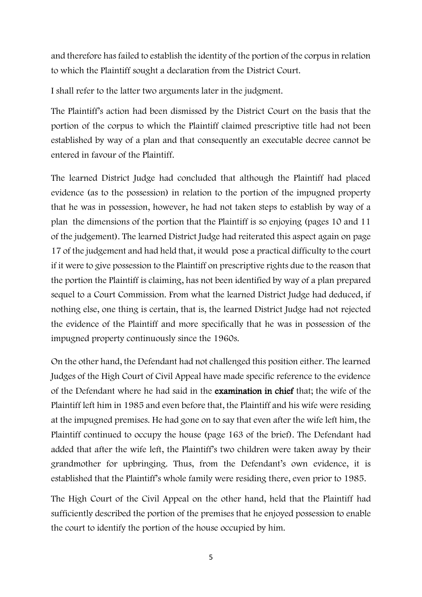and therefore has failed to establish the identity of the portion of the corpus in relation to which the Plaintiff sought a declaration from the District Court.

I shall refer to the latter two arguments later in the judgment.

The Plaintiff's action had been dismissed by the District Court on the basis that the portion of the corpus to which the Plaintiff claimed prescriptive title had not been established by way of a plan and that consequently an executable decree cannot be entered in favour of the Plaintiff.

The learned District Judge had concluded that although the Plaintiff had placed evidence (as to the possession) in relation to the portion of the impugned property that he was in possession, however, he had not taken steps to establish by way of a plan the dimensions of the portion that the Plaintiff is so enjoying (pages 10 and 11 of the judgement). The learned District Judge had reiterated this aspect again on page 17 of the judgement and had held that, it would pose a practical difficulty to the court if it were to give possession to the Plaintiff on prescriptive rights due to the reason that the portion the Plaintiff is claiming, has not been identified by way of a plan prepared sequel to a Court Commission. From what the learned District Judge had deduced, if nothing else, one thing is certain, that is, the learned District Judge had not rejected the evidence of the Plaintiff and more specifically that he was in possession of the impugned property continuously since the 1960s.

On the other hand, the Defendant had not challenged this position either. The learned Judges of the High Court of Civil Appeal have made specific reference to the evidence of the Defendant where he had said in the examination in chief that; the wife of the Plaintiff left him in 1985 and even before that, the Plaintiff and his wife were residing at the impugned premises. He had gone on to say that even after the wife left him, the Plaintiff continued to occupy the house (page 163 of the brief). The Defendant had added that after the wife left, the Plaintiff's two children were taken away by their grandmother for upbringing. Thus, from the Defendant's own evidence, it is established that the Plaintiff's whole family were residing there, even prior to 1985.

The High Court of the Civil Appeal on the other hand, held that the Plaintiff had sufficiently described the portion of the premises that he enjoyed possession to enable the court to identify the portion of the house occupied by him.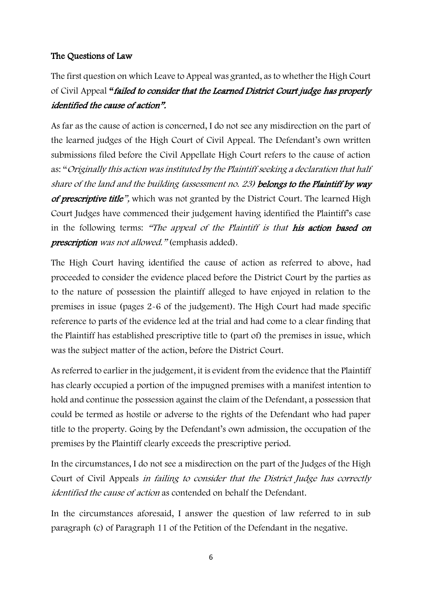# The Questions of Law

The first question on which Leave to Appeal was granted, as to whether the High Court of Civil Appeal "failed to consider that the Learned District Court judge has properly identified the cause of action".

As far as the cause of action is concerned, I do not see any misdirection on the part of the learned judges of the High Court of Civil Appeal. The Defendant's own written submissions filed before the Civil Appellate High Court refers to the cause of action as: "Originally this action was instituted by the Plaintiff seeking a declaration that half share of the land and the building (assessment no. 23) belongs to the Plaintiff by way of prescriptive title", which was not granted by the District Court. The learned High Court Judges have commenced their judgement having identified the Plaintiff's case in the following terms: "The appeal of the Plaintiff is that his action based on prescription was not allowed." (emphasis added).

The High Court having identified the cause of action as referred to above, had proceeded to consider the evidence placed before the District Court by the parties as to the nature of possession the plaintiff alleged to have enjoyed in relation to the premises in issue (pages 2-6 of the judgement). The High Court had made specific reference to parts of the evidence led at the trial and had come to a clear finding that the Plaintiff has established prescriptive title to (part of) the premises in issue, which was the subject matter of the action, before the District Court.

As referred to earlier in the judgement, it is evident from the evidence that the Plaintiff has clearly occupied a portion of the impugned premises with a manifest intention to hold and continue the possession against the claim of the Defendant, a possession that could be termed as hostile or adverse to the rights of the Defendant who had paper title to the property. Going by the Defendant's own admission, the occupation of the premises by the Plaintiff clearly exceeds the prescriptive period.

In the circumstances, I do not see a misdirection on the part of the Judges of the High Court of Civil Appeals in failing to consider that the District Judge has correctly identified the cause of action as contended on behalf the Defendant.

In the circumstances aforesaid, I answer the question of law referred to in sub paragraph (c) of Paragraph 11 of the Petition of the Defendant in the negative.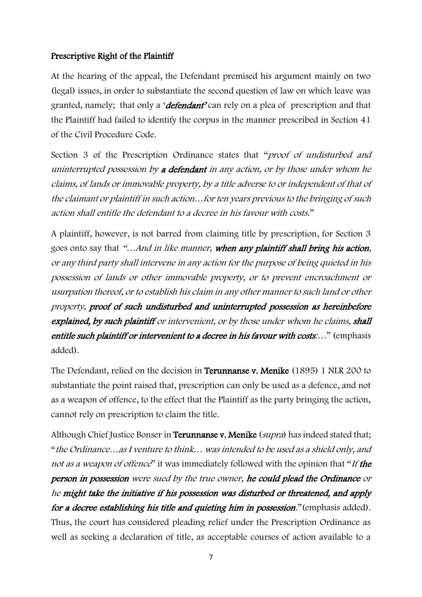## Prescriptive Right of the Plaintiff

At the hearing of the appeal, the Defendant premised his argument mainly on two (legal) issues, in order to substantiate the second question of law on which leave was granted, namely; that only a '*defendant'* can rely on a plea of prescription and that the Plaintiff had failed to identify the corpus in the manner prescribed in Section 41 of the Civil Procedure Code.

Section 3 of the Prescription Ordinance states that "*proof of undisturbed and* uninterrupted possession by a defendant in any action, or by those under whom he claims, of lands or immovable property, by a title adverse to or independent of that of the claimant or plaintiff in such action…for ten years previous to the bringing of such action shall entitle the defendant to a decree in his favour with costs."

A plaintiff, however, is not barred from claiming title by prescription, for Section 3 goes onto say that "...And in like manner, when any plaintiff shall bring his action, or any third party shall intervene in any action for the purpose of being quieted in his possession of lands or other immovable property, or to prevent encroachment or usurpation thereof, or to establish his claim in any other manner to such land or other property, proof of such undisturbed and uninterrupted possession as hereinbefore explained, by such plaintiff or intervenient, or by those under whom he claims, shall entitle such plaintiff or intervenient to a decree in his favour with costs:..." (emphasis added).

The Defendant, relied on the decision in Terunnanse v. Menike (1895) 1 NLR 200 to substantiate the point raised that, prescription can only be used as a defence, and not as a weapon of offence, to the effect that the Plaintiff as the party bringing the action, cannot rely on prescription to claim the title.

Although Chief Justice Bonser in Terunnanse v. Menike (supra) has indeed stated that; "the Ordinance…as I venture to think… was intended to be used as a shield only, and not as a weapon of offence" it was immediately followed with the opinion that "If the person in possession were sued by the true owner, he could plead the Ordinance or he might take the initiative if his possession was disturbed or threatened, and apply for a decree establishing his title and quieting him in possession." (emphasis added). Thus, the court has considered pleading relief under the Prescription Ordinance as well as seeking a declaration of title, as acceptable courses of action available to a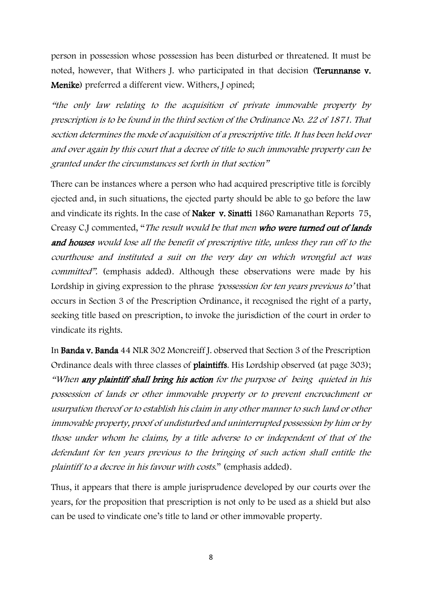person in possession whose possession has been disturbed or threatened. It must be noted, however, that Withers J. who participated in that decision (Terunnanse v. Menike) preferred a different view. Withers, J opined;

"the only law relating to the acquisition of private immovable property by prescription is to be found in the third section of the Ordinance No. 22 of 1871. That section determines the mode of acquisition of a prescriptive title. It has been held over and over again by this court that a decree of title to such immovable property can be granted under the circumstances set forth in that section"

There can be instances where a person who had acquired prescriptive title is forcibly ejected and, in such situations, the ejected party should be able to go before the law and vindicate its rights. In the case of Naker v. Sinatti 1860 Ramanathan Reports 75, Creasy C.J commented, "The result would be that men who were turned out of lands and houses would lose all the benefit of prescriptive title, unless they ran off to the courthouse and instituted a suit on the very day on which wrongful act was committed". (emphasis added). Although these observations were made by his Lordship in giving expression to the phrase *'possession for ten years previous to'* that occurs in Section 3 of the Prescription Ordinance, it recognised the right of a party, seeking title based on prescription, to invoke the jurisdiction of the court in order to vindicate its rights.

In Banda v. Banda 44 NLR 302 Moncreiff J. observed that Section 3 of the Prescription Ordinance deals with three classes of plaintiffs. His Lordship observed (at page 303); "When any plaintiff shall bring his action for the purpose of being quieted in his possession of lands or other immovable property or to prevent encroachment or usurpation thereof or to establish his claim in any other manner to such land or other immovable property, proof of undisturbed and uninterrupted possession by him or by those under whom he claims, by a title adverse to or independent of that of the defendant for ten years previous to the bringing of such action shall entitle the plaintiff to a decree in his favour with costs." (emphasis added).

Thus, it appears that there is ample jurisprudence developed by our courts over the years, for the proposition that prescription is not only to be used as a shield but also can be used to vindicate one's title to land or other immovable property.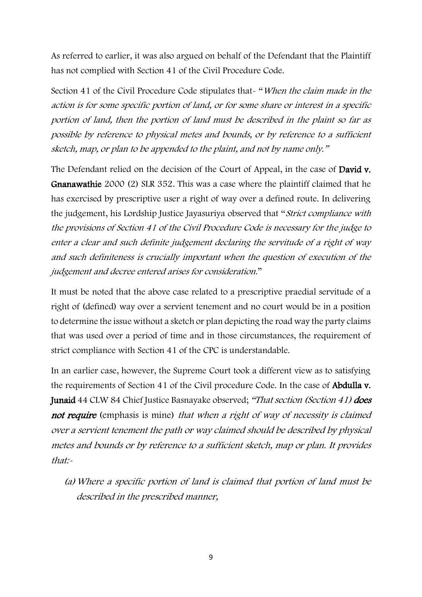As referred to earlier, it was also argued on behalf of the Defendant that the Plaintiff has not complied with Section 41 of the Civil Procedure Code.

Section 41 of the Civil Procedure Code stipulates that- "When the claim made in the action is for some specific portion of land, or for some share or interest in a specific portion of land, then the portion of land must be described in the plaint so far as possible by reference to physical metes and bounds, or by reference to a sufficient sketch, map, or plan to be appended to the plaint, and not by name only."

The Defendant relied on the decision of the Court of Appeal, in the case of **David v.** Gnanawathie 2000 (2) SLR 352. This was a case where the plaintiff claimed that he has exercised by prescriptive user a right of way over a defined route. In delivering the judgement, his Lordship Justice Jayasuriya observed that "Strict compliance with the provisions of Section 41 of the Civil Procedure Code is necessary for the judge to enter a clear and such definite judgement declaring the servitude of a right of way and such definiteness is crucially important when the question of execution of the judgement and decree entered arises for consideration."

It must be noted that the above case related to a prescriptive praedial servitude of a right of (defined) way over a servient tenement and no court would be in a position to determine the issue without a sketch or plan depicting the road way the party claims that was used over a period of time and in those circumstances, the requirement of strict compliance with Section 41 of the CPC is understandable.

In an earlier case, however, the Supreme Court took a different view as to satisfying the requirements of Section 41 of the Civil procedure Code. In the case of Abdulla v. Junaid 44 CLW 84 Chief Justice Basnayake observed; "That section (Section 41) does not require (emphasis is mine) that when a right of way of necessity is claimed over a servient tenement the path or way claimed should be described by physical metes and bounds or by reference to a sufficient sketch, map or plan. It provides that:-

(a)Where a specific portion of land is claimed that portion of land must be described in the prescribed manner,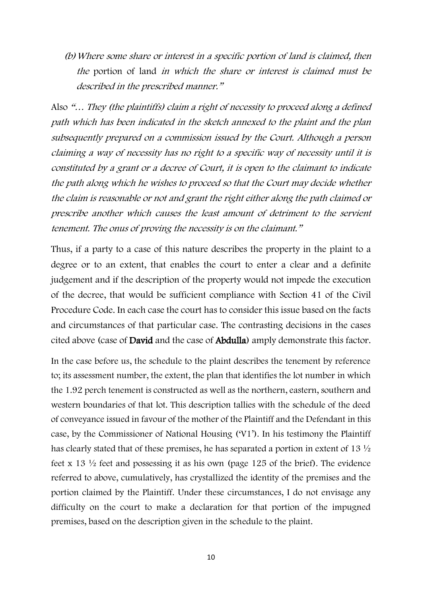(b)Where some share or interest in a specific portion of land is claimed, then the portion of land in which the share or interest is claimed must be described in the prescribed manner."

Also "… They (the plaintiffs) claim a right of necessity to proceed along a defined path which has been indicated in the sketch annexed to the plaint and the plan subsequently prepared on a commission issued by the Court. Although a person claiming a way of necessity has no right to a specific way of necessity until it is constituted by a grant or a decree of Court, it is open to the claimant to indicate the path along which he wishes to proceed so that the Court may decide whether the claim is reasonable or not and grant the right either along the path claimed or prescribe another which causes the least amount of detriment to the servient tenement. The onus of proving the necessity is on the claimant."

Thus, if a party to a case of this nature describes the property in the plaint to a degree or to an extent, that enables the court to enter a clear and a definite judgement and if the description of the property would not impede the execution of the decree, that would be sufficient compliance with Section 41 of the Civil Procedure Code. In each case the court has to consider this issue based on the facts and circumstances of that particular case. The contrasting decisions in the cases cited above (case of David and the case of Abdulla) amply demonstrate this factor.

In the case before us, the schedule to the plaint describes the tenement by reference to; its assessment number, the extent, the plan that identifies the lot number in which the 1.92 perch tenement is constructed as well as the northern, eastern, southern and western boundaries of that lot. This description tallies with the schedule of the deed of conveyance issued in favour of the mother of the Plaintiff and the Defendant in this case, by the Commissioner of National Housing ('V1'). In his testimony the Plaintiff has clearly stated that of these premises, he has separated a portion in extent of 13 ½ feet x 13 ½ feet and possessing it as his own (page 125 of the brief). The evidence referred to above, cumulatively, has crystallized the identity of the premises and the portion claimed by the Plaintiff. Under these circumstances, I do not envisage any difficulty on the court to make a declaration for that portion of the impugned premises, based on the description given in the schedule to the plaint.